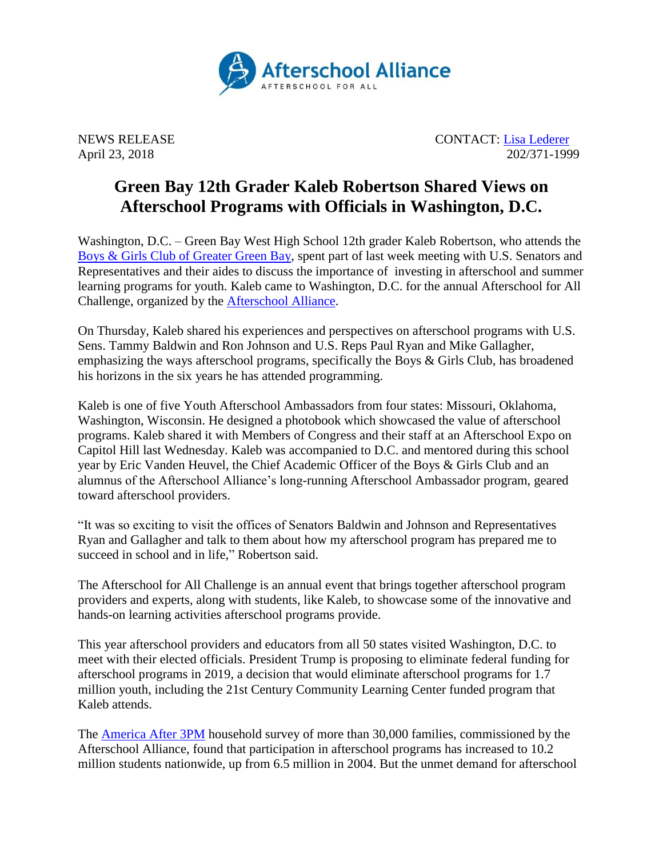

NEWS RELEASE CONTACT: [Lisa Lederer](mailto:lisa@prsolutionsdc.com) April 23, 2018 202/371-1999

## **Green Bay 12th Grader Kaleb Robertson Shared Views on Afterschool Programs with Officials in Washington, D.C.**

Washington, D.C. – Green Bay West High School 12th grader Kaleb Robertson, who attends the [Boys & Girls Club of Greater Green Bay,](https://www.bgcgb.org/) spent part of last week meeting with U.S. Senators and Representatives and their aides to discuss the importance of investing in afterschool and summer learning programs for youth. Kaleb came to Washington, D.C. for the annual Afterschool for All Challenge, organized by the [Afterschool Alliance.](http://www.afterschoolalliance.org/)

On Thursday, Kaleb shared his experiences and perspectives on afterschool programs with U.S. Sens. Tammy Baldwin and Ron Johnson and U.S. Reps Paul Ryan and Mike Gallagher, emphasizing the ways afterschool programs, specifically the Boys & Girls Club, has broadened his horizons in the six years he has attended programming.

Kaleb is one of five Youth Afterschool Ambassadors from four states: Missouri, Oklahoma, Washington, Wisconsin. He designed a photobook which showcased the value of afterschool programs. Kaleb shared it with Members of Congress and their staff at an Afterschool Expo on Capitol Hill last Wednesday. Kaleb was accompanied to D.C. and mentored during this school year by Eric Vanden Heuvel, the Chief Academic Officer of the Boys & Girls Club and an alumnus of the Afterschool Alliance's long-running Afterschool Ambassador program, geared toward afterschool providers.

"It was so exciting to visit the offices of Senators Baldwin and Johnson and Representatives Ryan and Gallagher and talk to them about how my afterschool program has prepared me to succeed in school and in life," Robertson said.

The Afterschool for All Challenge is an annual event that brings together afterschool program providers and experts, along with students, like Kaleb, to showcase some of the innovative and hands-on learning activities afterschool programs provide.

This year afterschool providers and educators from all 50 states visited Washington, D.C. to meet with their elected officials. President Trump is proposing to eliminate federal funding for afterschool programs in 2019, a decision that would eliminate afterschool programs for 1.7 million youth, including the 21st Century Community Learning Center funded program that Kaleb attends.

The [America After 3PM](http://www.afterschoolalliance.org/AA3PM/) household survey of more than 30,000 families, commissioned by the Afterschool Alliance, found that participation in afterschool programs has increased to 10.2 million students nationwide, up from 6.5 million in 2004. But the unmet demand for afterschool